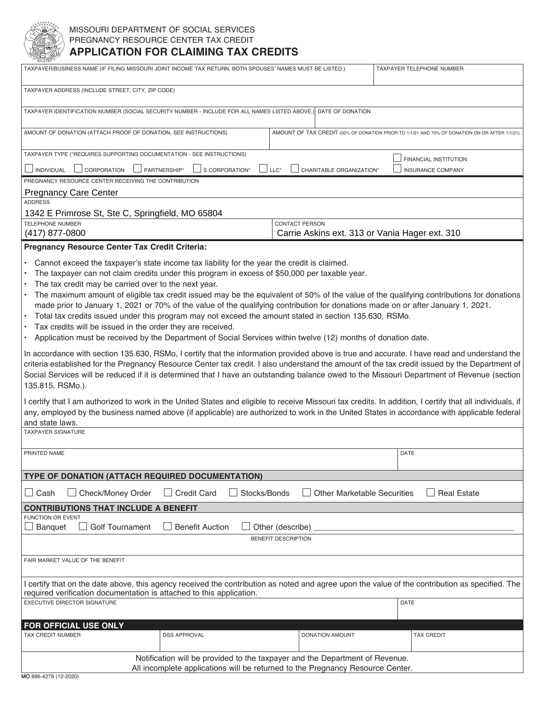

## MISSOURI DEPARTMENT OF SOCIAL SERVICES PREGNANCY RESOURCE CENTER TAX CREDIT **APPLICATION FOR CLAIMING TAX CREDITS**

| TAXPAYER/BUSINESS NAME (IF FILING MISSOURI JOINT INCOME TAX RETURN, BOTH SPOUSES' NAMES MUST BE LISTED.)                                                                                                                                                                                                                                                                                                                                                                                                                                                                                                                                                                                                                                                                                                                                                                                                                                                                                                                                                                                                                                                                                                                                                                                                                                                                                                                                                                                                                                                                                                                                                     |                                    | TAXPAYER TELEPHONE NUMBER          |                                                                                               |  |
|--------------------------------------------------------------------------------------------------------------------------------------------------------------------------------------------------------------------------------------------------------------------------------------------------------------------------------------------------------------------------------------------------------------------------------------------------------------------------------------------------------------------------------------------------------------------------------------------------------------------------------------------------------------------------------------------------------------------------------------------------------------------------------------------------------------------------------------------------------------------------------------------------------------------------------------------------------------------------------------------------------------------------------------------------------------------------------------------------------------------------------------------------------------------------------------------------------------------------------------------------------------------------------------------------------------------------------------------------------------------------------------------------------------------------------------------------------------------------------------------------------------------------------------------------------------------------------------------------------------------------------------------------------------|------------------------------------|------------------------------------|-----------------------------------------------------------------------------------------------|--|
| TAXPAYER ADDRESS (INCLUDE STREET, CITY, ZIP CODE)                                                                                                                                                                                                                                                                                                                                                                                                                                                                                                                                                                                                                                                                                                                                                                                                                                                                                                                                                                                                                                                                                                                                                                                                                                                                                                                                                                                                                                                                                                                                                                                                            |                                    |                                    |                                                                                               |  |
| TAXPAYER IDENTIFICATION NUMBER (SOCIAL SECURITY NUMBER - INCLUDE FOR ALL NAMES LISTED ABOVE.) DATE OF DONATION                                                                                                                                                                                                                                                                                                                                                                                                                                                                                                                                                                                                                                                                                                                                                                                                                                                                                                                                                                                                                                                                                                                                                                                                                                                                                                                                                                                                                                                                                                                                               |                                    |                                    |                                                                                               |  |
| AMOUNT OF DONATION (ATTACH PROOF OF DONATION, SEE INSTRUCTIONS)                                                                                                                                                                                                                                                                                                                                                                                                                                                                                                                                                                                                                                                                                                                                                                                                                                                                                                                                                                                                                                                                                                                                                                                                                                                                                                                                                                                                                                                                                                                                                                                              |                                    |                                    | AMOUNT OF TAX CREDIT (50% OF DONATION PRIOR TO 1/1/21 AND 70% OF DONATION ON OR AFTER 1/1/21) |  |
| TAXPAYER TYPE (*REQUIRES SUPPORTING DOCUMENTATION - SEE INSTRUCTIONS)<br>FINANCIAL INSTITUTION                                                                                                                                                                                                                                                                                                                                                                                                                                                                                                                                                                                                                                                                                                                                                                                                                                                                                                                                                                                                                                                                                                                                                                                                                                                                                                                                                                                                                                                                                                                                                               |                                    |                                    |                                                                                               |  |
| $\Box$ PARTNERSHIP*<br>INDIVIDUAL<br>CORPORATION<br>S CORPORATION*<br>$\sqcup$ LLC*<br>CHARITABLE ORGANIZATION*<br><b>INSURANCE COMPANY</b>                                                                                                                                                                                                                                                                                                                                                                                                                                                                                                                                                                                                                                                                                                                                                                                                                                                                                                                                                                                                                                                                                                                                                                                                                                                                                                                                                                                                                                                                                                                  |                                    |                                    |                                                                                               |  |
| PREGNANCY RESOURCE CENTER RECEIVING THE CONTRIBUTION                                                                                                                                                                                                                                                                                                                                                                                                                                                                                                                                                                                                                                                                                                                                                                                                                                                                                                                                                                                                                                                                                                                                                                                                                                                                                                                                                                                                                                                                                                                                                                                                         |                                    |                                    |                                                                                               |  |
| <b>Pregnancy Care Center</b><br><b>ADDRESS</b>                                                                                                                                                                                                                                                                                                                                                                                                                                                                                                                                                                                                                                                                                                                                                                                                                                                                                                                                                                                                                                                                                                                                                                                                                                                                                                                                                                                                                                                                                                                                                                                                               |                                    |                                    |                                                                                               |  |
| 1342 E Primrose St, Ste C, Springfield, MO 65804                                                                                                                                                                                                                                                                                                                                                                                                                                                                                                                                                                                                                                                                                                                                                                                                                                                                                                                                                                                                                                                                                                                                                                                                                                                                                                                                                                                                                                                                                                                                                                                                             |                                    |                                    |                                                                                               |  |
| <b>TELEPHONE NUMBER</b><br>(417) 877-0800                                                                                                                                                                                                                                                                                                                                                                                                                                                                                                                                                                                                                                                                                                                                                                                                                                                                                                                                                                                                                                                                                                                                                                                                                                                                                                                                                                                                                                                                                                                                                                                                                    |                                    | <b>CONTACT PERSON</b>              | Carrie Askins ext. 313 or Vania Hager ext. 310                                                |  |
| Pregnancy Resource Center Tax Credit Criteria:                                                                                                                                                                                                                                                                                                                                                                                                                                                                                                                                                                                                                                                                                                                                                                                                                                                                                                                                                                                                                                                                                                                                                                                                                                                                                                                                                                                                                                                                                                                                                                                                               |                                    |                                    |                                                                                               |  |
| Cannot exceed the taxpayer's state income tax liability for the year the credit is claimed.<br>The taxpayer can not claim credits under this program in excess of \$50,000 per taxable year.<br>The tax credit may be carried over to the next year.<br>The maximum amount of eligible tax credit issued may be the equivalent of 50% of the value of the qualifying contributions for donations<br>made prior to January 1, 2021 or 70% of the value of the qualifying contribution for donations made on or after January 1, 2021.<br>Total tax credits issued under this program may not exceed the amount stated in section 135.630, RSMo.<br>Tax credits will be issued in the order they are received.<br>Application must be received by the Department of Social Services within twelve (12) months of donation date.<br>In accordance with section 135.630, RSMo, I certify that the information provided above is true and accurate. I have read and understand the<br>criteria established for the Pregnancy Resource Center tax credit. I also understand the amount of the tax credit issued by the Department of<br>Social Services will be reduced if it is determined that I have an outstanding balance owed to the Missouri Department of Revenue (section<br>135.815, RSMo.).<br>I certify that I am authorized to work in the United States and eligible to receive Missouri tax credits. In addition, I certify that all individuals, if<br>any, employed by the business named above (if applicable) are authorized to work in the United States in accordance with applicable federal<br>and state laws.<br><b>TAXPAYER SIGNATURE</b> |                                    |                                    |                                                                                               |  |
| PRINTED NAME                                                                                                                                                                                                                                                                                                                                                                                                                                                                                                                                                                                                                                                                                                                                                                                                                                                                                                                                                                                                                                                                                                                                                                                                                                                                                                                                                                                                                                                                                                                                                                                                                                                 |                                    |                                    | DATE                                                                                          |  |
| TYPE OF DONATION (ATTACH REQUIRED DOCUMENTATION)                                                                                                                                                                                                                                                                                                                                                                                                                                                                                                                                                                                                                                                                                                                                                                                                                                                                                                                                                                                                                                                                                                                                                                                                                                                                                                                                                                                                                                                                                                                                                                                                             |                                    |                                    |                                                                                               |  |
| Check/Money Order<br>Cash<br>- 1                                                                                                                                                                                                                                                                                                                                                                                                                                                                                                                                                                                                                                                                                                                                                                                                                                                                                                                                                                                                                                                                                                                                                                                                                                                                                                                                                                                                                                                                                                                                                                                                                             | $\Box$ Credit Card<br>Stocks/Bonds | <b>Other Marketable Securities</b> | <b>Real Estate</b>                                                                            |  |
| <b>CONTRIBUTIONS THAT INCLUDE A BENEFIT</b>                                                                                                                                                                                                                                                                                                                                                                                                                                                                                                                                                                                                                                                                                                                                                                                                                                                                                                                                                                                                                                                                                                                                                                                                                                                                                                                                                                                                                                                                                                                                                                                                                  |                                    |                                    |                                                                                               |  |
| <b>FUNCTION OR EVENT</b>                                                                                                                                                                                                                                                                                                                                                                                                                                                                                                                                                                                                                                                                                                                                                                                                                                                                                                                                                                                                                                                                                                                                                                                                                                                                                                                                                                                                                                                                                                                                                                                                                                     |                                    |                                    |                                                                                               |  |
| <b>Golf Tournament</b><br><b>Benefit Auction</b><br>Banquet<br>Other (describe)                                                                                                                                                                                                                                                                                                                                                                                                                                                                                                                                                                                                                                                                                                                                                                                                                                                                                                                                                                                                                                                                                                                                                                                                                                                                                                                                                                                                                                                                                                                                                                              |                                    |                                    |                                                                                               |  |
|                                                                                                                                                                                                                                                                                                                                                                                                                                                                                                                                                                                                                                                                                                                                                                                                                                                                                                                                                                                                                                                                                                                                                                                                                                                                                                                                                                                                                                                                                                                                                                                                                                                              |                                    | <b>BENEFIT DESCRIPTION</b>         |                                                                                               |  |
| FAIR MARKET VALUE OF THE BENEFIT                                                                                                                                                                                                                                                                                                                                                                                                                                                                                                                                                                                                                                                                                                                                                                                                                                                                                                                                                                                                                                                                                                                                                                                                                                                                                                                                                                                                                                                                                                                                                                                                                             |                                    |                                    |                                                                                               |  |
| I certify that on the date above, this agency received the contribution as noted and agree upon the value of the contribution as specified. The<br>required verification documentation is attached to this application.                                                                                                                                                                                                                                                                                                                                                                                                                                                                                                                                                                                                                                                                                                                                                                                                                                                                                                                                                                                                                                                                                                                                                                                                                                                                                                                                                                                                                                      |                                    |                                    |                                                                                               |  |
| <b>EXECUTIVE DIRECTOR SIGNATURE</b>                                                                                                                                                                                                                                                                                                                                                                                                                                                                                                                                                                                                                                                                                                                                                                                                                                                                                                                                                                                                                                                                                                                                                                                                                                                                                                                                                                                                                                                                                                                                                                                                                          |                                    |                                    | DATE                                                                                          |  |
| FOR OFFICIAL USE ONLY                                                                                                                                                                                                                                                                                                                                                                                                                                                                                                                                                                                                                                                                                                                                                                                                                                                                                                                                                                                                                                                                                                                                                                                                                                                                                                                                                                                                                                                                                                                                                                                                                                        |                                    |                                    |                                                                                               |  |
| TAX CREDIT NUMBER                                                                                                                                                                                                                                                                                                                                                                                                                                                                                                                                                                                                                                                                                                                                                                                                                                                                                                                                                                                                                                                                                                                                                                                                                                                                                                                                                                                                                                                                                                                                                                                                                                            | <b>DSS APPROVAL</b>                | DONATION AMOUNT                    | <b>TAX CREDIT</b>                                                                             |  |
| Notification will be provided to the taxpayer and the Department of Revenue.<br>All incomplete applications will be returned to the Pregnancy Resource Center.                                                                                                                                                                                                                                                                                                                                                                                                                                                                                                                                                                                                                                                                                                                                                                                                                                                                                                                                                                                                                                                                                                                                                                                                                                                                                                                                                                                                                                                                                               |                                    |                                    |                                                                                               |  |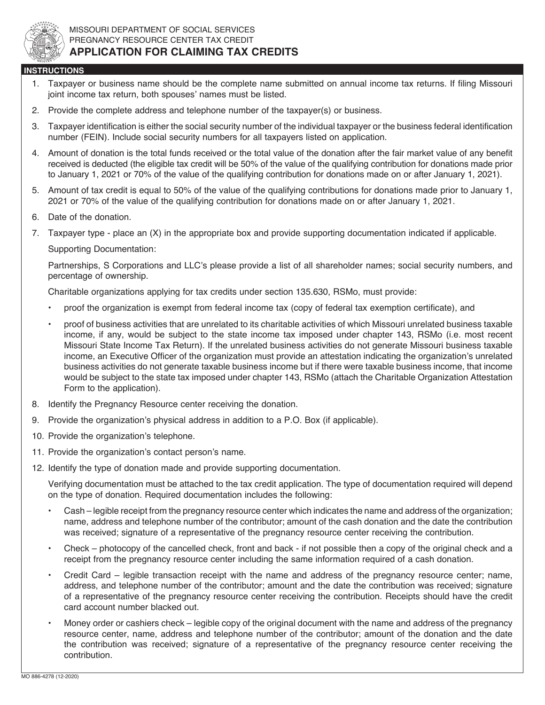

## **INSTRUCTIONS**

- 1. Taxpayer or business name should be the complete name submitted on annual income tax returns. If filing Missouri joint income tax return, both spouses' names must be listed.
- 2. Provide the complete address and telephone number of the taxpayer(s) or business.
- 3. Taxpayer identification is either the social security number of the individual taxpayer or the business federal identification number (FEIN). Include social security numbers for all taxpayers listed on application.
- 4. Amount of donation is the total funds received or the total value of the donation after the fair market value of any benefit received is deducted (the eligible tax credit will be 50% of the value of the qualifying contribution for donations made prior to January 1, 2021 or 70% of the value of the qualifying contribution for donations made on or after January 1, 2021).
- 5. Amount of tax credit is equal to 50% of the value of the qualifying contributions for donations made prior to January 1, 2021 or 70% of the value of the qualifying contribution for donations made on or after January 1, 2021.
- 6. Date of the donation.
- 7. Taxpayer type place an (X) in the appropriate box and provide supporting documentation indicated if applicable.

Supporting Documentation:

 Partnerships, S Corporations and LLC's please provide a list of all shareholder names; social security numbers, and percentage of ownership.

Charitable organizations applying for tax credits under section 135.630, RSMo, must provide:

- proof the organization is exempt from federal income tax (copy of federal tax exemption certificate), and
- proof of business activities that are unrelated to its charitable activities of which Missouri unrelated business taxable income, if any, would be subject to the state income tax imposed under chapter 143, RSMo (i.e. most recent Missouri State Income Tax Return). If the unrelated business activities do not generate Missouri business taxable income, an Executive Officer of the organization must provide an attestation indicating the organization's unrelated business activities do not generate taxable business income but if there were taxable business income, that income would be subject to the state tax imposed under chapter 143, RSMo (attach the Charitable Organization Attestation Form to the application).
- 8. Identify the Pregnancy Resource center receiving the donation.
- 9. Provide the organization's physical address in addition to a P.O. Box (if applicable).
- 10. Provide the organization's telephone.
- 11. Provide the organization's contact person's name.
- 12. Identify the type of donation made and provide supporting documentation.

 Verifying documentation must be attached to the tax credit application. The type of documentation required will depend on the type of donation. Required documentation includes the following:

- Cash legible receipt from the pregnancy resource center which indicates the name and address of the organization; name, address and telephone number of the contributor; amount of the cash donation and the date the contribution was received; signature of a representative of the pregnancy resource center receiving the contribution.
- Check photocopy of the cancelled check, front and back if not possible then a copy of the original check and a receipt from the pregnancy resource center including the same information required of a cash donation.
- Credit Card legible transaction receipt with the name and address of the pregnancy resource center; name, address, and telephone number of the contributor; amount and the date the contribution was received; signature of a representative of the pregnancy resource center receiving the contribution. Receipts should have the credit card account number blacked out.
- Money order or cashiers check legible copy of the original document with the name and address of the pregnancy resource center, name, address and telephone number of the contributor; amount of the donation and the date the contribution was received; signature of a representative of the pregnancy resource center receiving the contribution.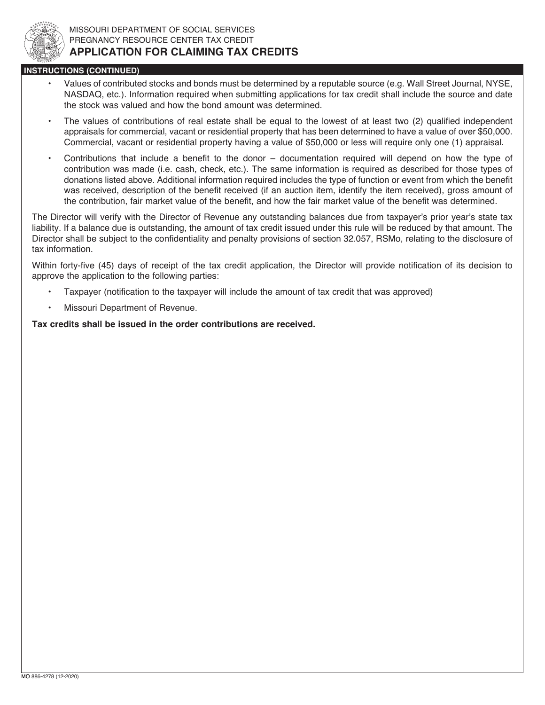

## **INSTRUCTIONS (CONTINUED)**

- Values of contributed stocks and bonds must be determined by a reputable source (e.g. Wall Street Journal, NYSE, NASDAQ, etc.). Information required when submitting applications for tax credit shall include the source and date the stock was valued and how the bond amount was determined.
- The values of contributions of real estate shall be equal to the lowest of at least two (2) qualified independent appraisals for commercial, vacant or residential property that has been determined to have a value of over \$50,000. Commercial, vacant or residential property having a value of \$50,000 or less will require only one (1) appraisal.
- Contributions that include a benefit to the donor documentation required will depend on how the type of contribution was made (i.e. cash, check, etc.). The same information is required as described for those types of donations listed above. Additional information required includes the type of function or event from which the benefit was received, description of the benefit received (if an auction item, identify the item received), gross amount of the contribution, fair market value of the benefit, and how the fair market value of the benefit was determined.

The Director will verify with the Director of Revenue any outstanding balances due from taxpayer's prior year's state tax liability. If a balance due is outstanding, the amount of tax credit issued under this rule will be reduced by that amount. The Director shall be subject to the confidentiality and penalty provisions of section 32.057, RSMo, relating to the disclosure of tax information.

Within forty-five (45) days of receipt of the tax credit application, the Director will provide notification of its decision to approve the application to the following parties:

- Taxpayer (notification to the taxpayer will include the amount of tax credit that was approved)
- Missouri Department of Revenue.

Tax credits shall be issued in the order contributions are received.